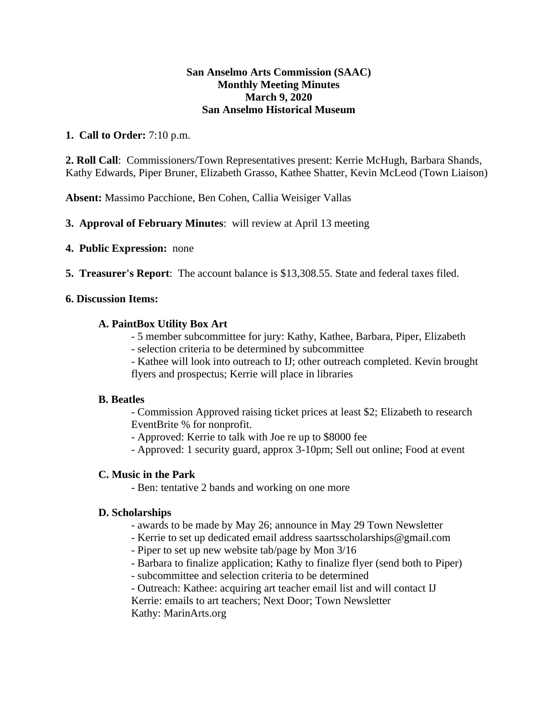### **San Anselmo Arts Commission (SAAC) Monthly Meeting Minutes March 9, 2020 San Anselmo Historical Museum**

## **1. Call to Order:** 7:10 p.m.

**2. Roll Call**: Commissioners/Town Representatives present: Kerrie McHugh, Barbara Shands, Kathy Edwards, Piper Bruner, Elizabeth Grasso, Kathee Shatter, Kevin McLeod (Town Liaison)

**Absent:** Massimo Pacchione, Ben Cohen, Callia Weisiger Vallas

- **3. Approval of February Minutes**: will review at April 13 meeting
- **4. Public Expression:** none
- **5. Treasurer's Report**: The account balance is \$13,308.55. State and federal taxes filed.

## **6. Discussion Items:**

### **A. PaintBox Utility Box Art**

- 5 member subcommittee for jury: Kathy, Kathee, Barbara, Piper, Elizabeth
- selection criteria to be determined by subcommittee
- Kathee will look into outreach to IJ; other outreach completed. Kevin brought flyers and prospectus; Kerrie will place in libraries

### **B. Beatles**

- Commission Approved raising ticket prices at least \$2; Elizabeth to research EventBrite % for nonprofit.

- Approved: Kerrie to talk with Joe re up to \$8000 fee
- Approved: 1 security guard, approx 3-10pm; Sell out online; Food at event

### **C. Music in the Park**

- Ben: tentative 2 bands and working on one more

### **D. Scholarships**

- awards to be made by May 26; announce in May 29 Town Newsletter
- Kerrie to set up dedicated email address saartsscholarships@gmail.com
- Piper to set up new website tab/page by Mon 3/16
- Barbara to finalize application; Kathy to finalize flyer (send both to Piper)
- subcommittee and selection criteria to be determined
- Outreach: Kathee: acquiring art teacher email list and will contact IJ
- Kerrie: emails to art teachers; Next Door; Town Newsletter Kathy: MarinArts.org